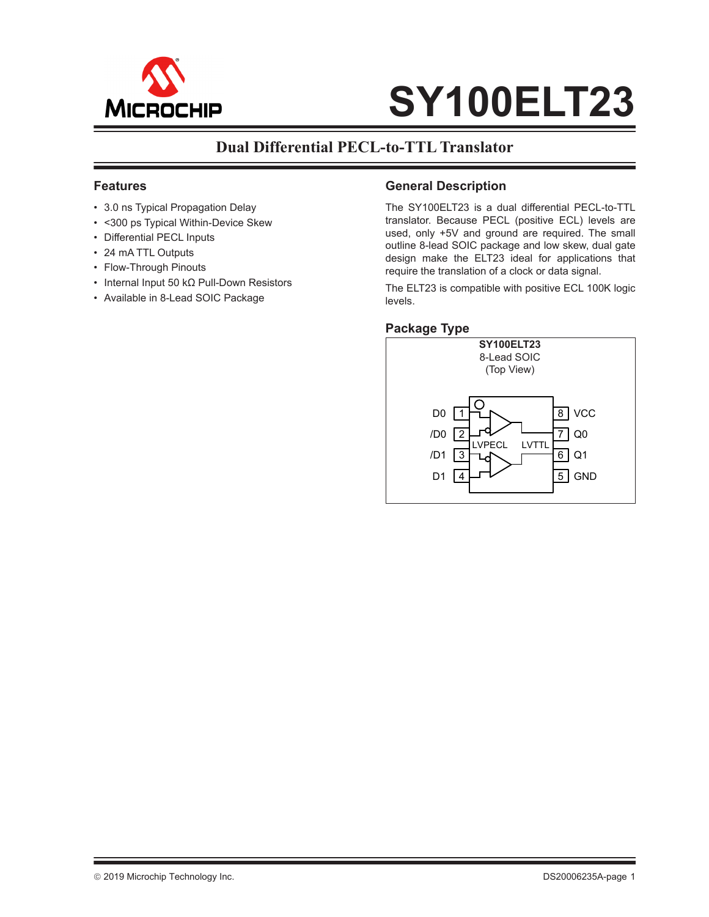



# **Dual Differential PECL-to-TTL Translator**

#### **Features**

- 3.0 ns Typical Propagation Delay
- <300 ps Typical Within-Device Skew
- Differential PECL Inputs
- 24 mA TTL Outputs
- Flow-Through Pinouts
- Internal Input 50 kΩ Pull-Down Resistors
- Available in 8-Lead SOIC Package

#### **General Description**

The SY100ELT23 is a dual differential PECL-to-TTL translator. Because PECL (positive ECL) levels are used, only +5V and ground are required. The small outline 8-lead SOIC package and low skew, dual gate design make the ELT23 ideal for applications that require the translation of a clock or data signal.

The ELT23 is compatible with positive ECL 100K logic levels.

#### **Package Type**

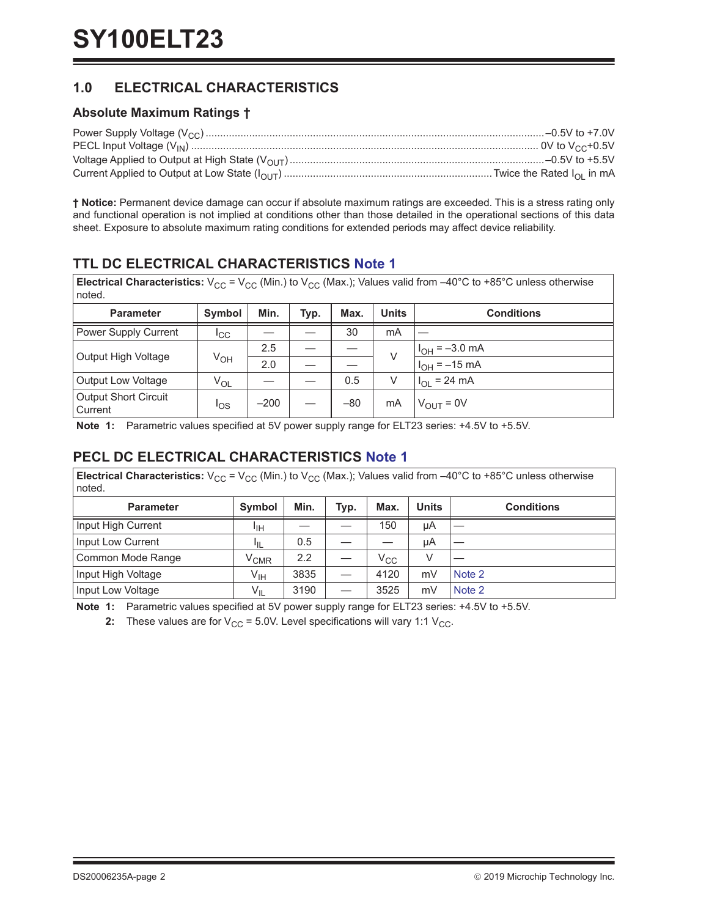# **1.0 ELECTRICAL CHARACTERISTICS**

#### **Absolute Maximum Ratings †**

**† Notice:** Permanent device damage can occur if absolute maximum ratings are exceeded. This is a stress rating only and functional operation is not implied at conditions other than those detailed in the operational sections of this data sheet. Exposure to absolute maximum rating conditions for extended periods may affect device reliability.

# **TTL DC ELECTRICAL CHARACTERISTICS [Note](#page-1-1) 1**

**Electrical Characteristics:**  $V_{CC} = V_{CC}$  (Min.) to  $V_{CC}$  (Max.); Values valid from  $-40^{\circ}$ C to +85°C unless otherwise noted.

| <b>Parameter</b>                       | Symbol          | Min.   | Typ. | Max.  | <b>Units</b> | <b>Conditions</b>     |                     |
|----------------------------------------|-----------------|--------|------|-------|--------------|-----------------------|---------------------|
| <b>Power Supply Current</b>            | Iсс             |        |      | 30    | mA           |                       |                     |
| Output High Voltage                    | V <sub>OH</sub> |        | 2.5  |       |              | V                     | $11_{OH} = -3.0$ mA |
|                                        |                 | 2.0    |      |       |              | $l_{OH} = -15$ mA     |                     |
| <b>Output Low Voltage</b>              | $V_{OL}$        |        |      | 0.5   | V            | $l_{OL}$ = 24 mA      |                     |
| <b>Output Short Circuit</b><br>Current | los             | $-200$ |      | $-80$ | mA           | $V_{\text{OUT}} = 0V$ |                     |

<span id="page-1-1"></span>**Note 1:** Parametric values specified at 5V power supply range for ELT23 series: +4.5V to +5.5V.

### **PECL DC ELECTRICAL CHARACTERISTICS [Note](#page-1-1) 1**

**Electrical Characteristics:**  $V_{CC} = V_{CC}$  (Min.) to  $V_{CC}$  (Max.); Values valid from  $-40^{\circ}$ C to +85°C unless otherwise noted.

| <b>Parameter</b>   | <b>Symbol</b>   | Min. | Typ.                     | Max.         | Units | <b>Conditions</b> |
|--------------------|-----------------|------|--------------------------|--------------|-------|-------------------|
| Input High Current | ЧH              |      |                          | 150          | μA    |                   |
| Input Low Current  | ΨL              | 0.5  |                          |              | μA    |                   |
| Common Mode Range  | $\rm V_{CMR}$   | 2.2  | $\overline{\phantom{0}}$ | $V_{\rm CC}$ |       |                   |
| Input High Voltage | V <sub>IH</sub> | 3835 | $\overline{\phantom{0}}$ | 4120         | mV    | Note 2            |
| Input Low Voltage  | $V_{IL}$        | 3190 |                          | 3525         | mV    | Note 2            |

<span id="page-1-0"></span>**Note 1:** Parametric values specified at 5V power supply range for ELT23 series: +4.5V to +5.5V.

**2:** These values are for  $V_{CC}$  = 5.0V. Level specifications will vary 1:1  $V_{CC}$ .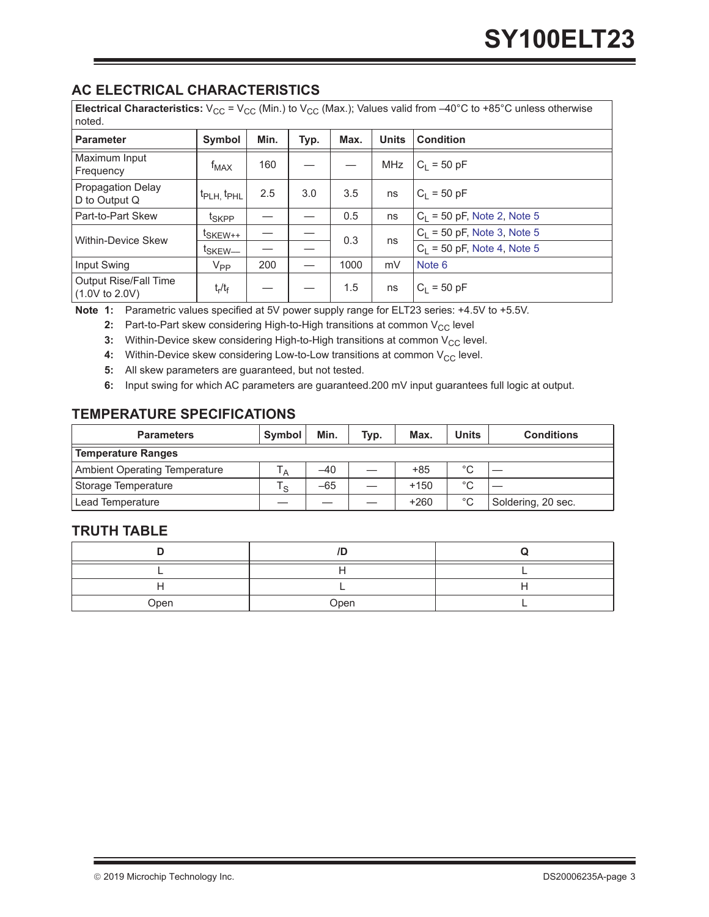## **AC ELECTRICAL CHARACTERISTICS**

**Electrical Characteristics:**  $V_{CC} = V_{CC}$  (Min.) to  $V_{CC}$  (Max.); Values valid from  $-40^{\circ}$ C to +85°C unless otherwise noted.

| nowu.                                          |                                    |      |      |      |              |                               |  |
|------------------------------------------------|------------------------------------|------|------|------|--------------|-------------------------------|--|
| <b>Parameter</b>                               | Symbol                             | Min. | Typ. | Max. | <b>Units</b> | <b>Condition</b>              |  |
| Maximum Input<br>Frequency                     | $f_{MAX}$                          | 160  |      |      | <b>MHz</b>   | $C_1 = 50$ pF                 |  |
| Propagation Delay<br>D to Output Q             | t <sub>PLH,</sub> t <sub>PHL</sub> | 2.5  | 3.0  | 3.5  | ns           | $C_1 = 50$ pF                 |  |
| Part-to-Part Skew                              | t <sub>SKPP</sub>                  |      |      | 0.5  | ns           | $C_1$ = 50 pF, Note 2, Note 5 |  |
| <b>Within-Device Skew</b>                      | $I_{SKEW++}$                       |      |      | 0.3  | ns           | $C_1$ = 50 pF, Note 3, Note 5 |  |
|                                                | <sup>I</sup> SKEW—                 |      |      |      |              | $C_1$ = 50 pF, Note 4, Note 5 |  |
| Input Swing                                    | $V_{PP}$                           | 200  |      | 1000 | mV           | Note 6                        |  |
| <b>Output Rise/Fall Time</b><br>(1.0V to 2.0V) | $t_r/t_f$                          |      |      | 1.5  | ns           | $C_1 = 50$ pF                 |  |

<span id="page-2-4"></span><span id="page-2-1"></span>**Note 1:** Parametric values specified at 5V power supply range for ELT23 series: +4.5V to +5.5V.

**2:** Part-to-Part skew considering High-to-High transitions at common V<sub>CC</sub> level

- **3:** Within-Device skew considering High-to-High transitions at common V<sub>CC</sub> level.
- <span id="page-2-3"></span>**4:** Within-Device skew considering Low-to-Low transitions at common V<sub>CC</sub> level.
- <span id="page-2-0"></span>**5:** All skew parameters are guaranteed, but not tested.
- **6:** Input swing for which AC parameters are guaranteed.200 mV input guarantees full logic at output.

#### <span id="page-2-2"></span>**TEMPERATURE SPECIFICATIONS**

| <b>Parameters</b>                    | Symbol | Min.  | Typ. | Max.   | <b>Units</b> | <b>Conditions</b>  |  |
|--------------------------------------|--------|-------|------|--------|--------------|--------------------|--|
| <b>Temperature Ranges</b>            |        |       |      |        |              |                    |  |
| <b>Ambient Operating Temperature</b> | A      | $-40$ |      | $+85$  | °C           |                    |  |
| Storage Temperature                  | 'S     | $-65$ |      | $+150$ | °C           |                    |  |
| Lead Temperature                     |        |       |      | $+260$ | $^{\circ}C$  | Soldering, 20 sec. |  |

#### **TRUTH TABLE**

| Open | Open |  |
|------|------|--|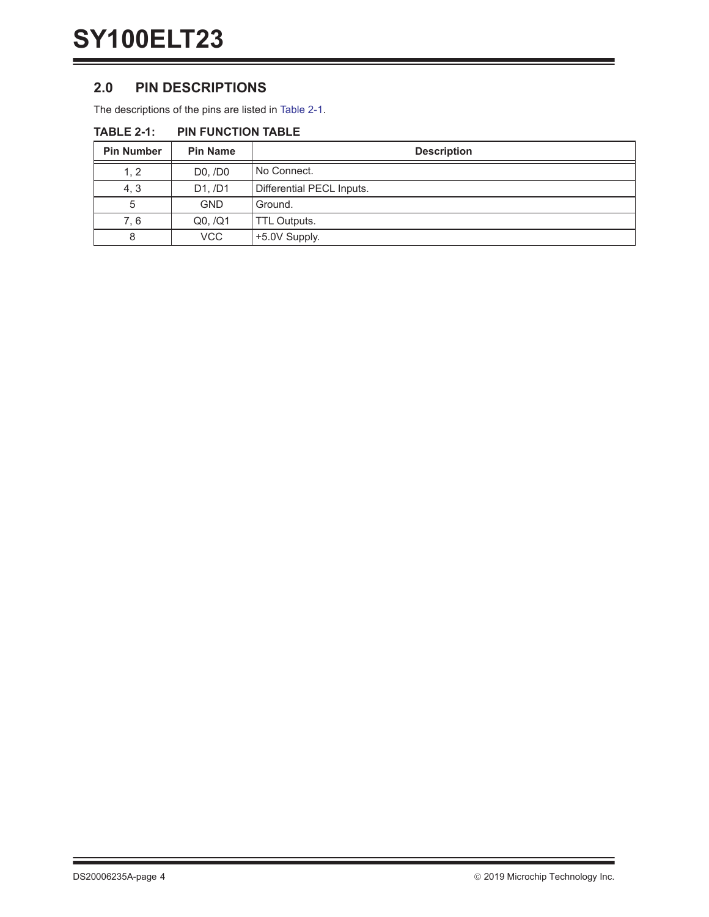## **2.0 PIN DESCRIPTIONS**

The descriptions of the pins are listed in [Table](#page-3-0) 2-1.

| <b>Pin Number</b> | <b>Pin Name</b> | <b>Description</b>        |  |  |  |  |  |
|-------------------|-----------------|---------------------------|--|--|--|--|--|
| 1, 2              | D0, /D0         | No Connect.               |  |  |  |  |  |
| 4, 3              | D1,/D1          | Differential PECL Inputs. |  |  |  |  |  |
| 5                 | <b>GND</b>      | Ground.                   |  |  |  |  |  |
| 7.6               | Q0, /Q1         | TTL Outputs.              |  |  |  |  |  |
| 8                 | VCC             | +5.0V Supply.             |  |  |  |  |  |

#### <span id="page-3-0"></span>**TABLE 2-1: PIN FUNCTION TABLE**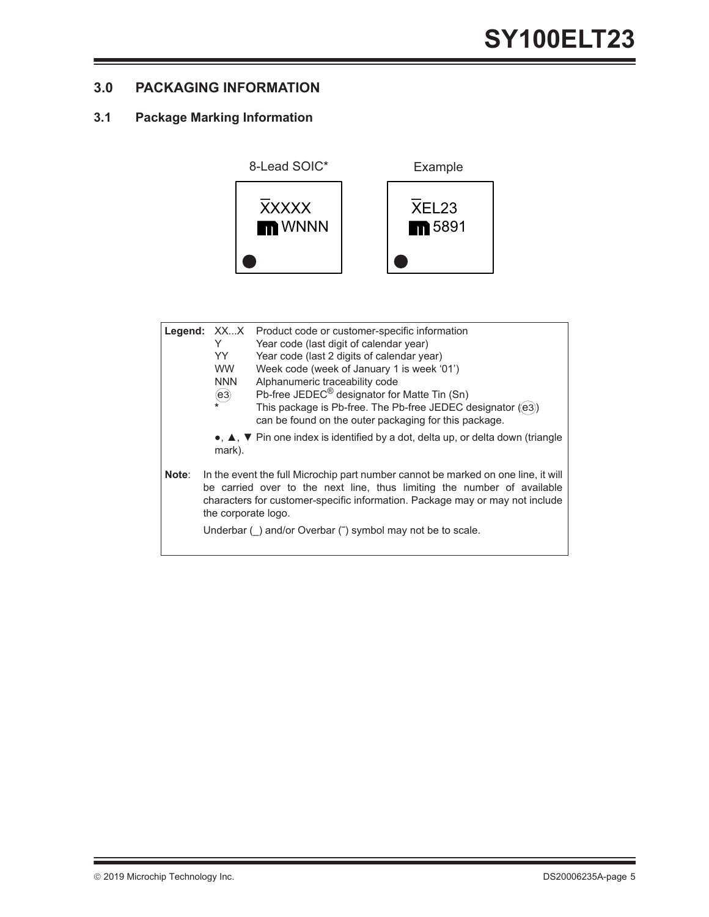#### **3.0 PACKAGING INFORMATION**

#### **3.1 Package Marking Information**



| Legend: | XXX                 | Product code or customer-specific information                                                                                                                                                                                                |
|---------|---------------------|----------------------------------------------------------------------------------------------------------------------------------------------------------------------------------------------------------------------------------------------|
|         | Y                   | Year code (last digit of calendar year)                                                                                                                                                                                                      |
|         | YY                  | Year code (last 2 digits of calendar year)                                                                                                                                                                                                   |
|         | <b>WW</b>           | Week code (week of January 1 is week '01')                                                                                                                                                                                                   |
|         | <b>NNN</b>          | Alphanumeric traceability code                                                                                                                                                                                                               |
|         | $\circled{e3}$      | Pb-free JEDEC <sup>®</sup> designator for Matte Tin (Sn)                                                                                                                                                                                     |
|         |                     | This package is Pb-free. The Pb-free JEDEC designator ((e3))                                                                                                                                                                                 |
|         |                     | can be found on the outer packaging for this package.                                                                                                                                                                                        |
|         | mark).              | $\bullet$ , $\blacktriangle$ , $\blacktriangledown$ Pin one index is identified by a dot, delta up, or delta down (triangle                                                                                                                  |
| Note:   | the corporate logo. | In the event the full Microchip part number cannot be marked on one line, it will<br>be carried over to the next line, thus limiting the number of available<br>characters for customer-specific information. Package may or may not include |
|         |                     | Underbar () and/or Overbar ( <sup>-</sup> ) symbol may not be to scale.                                                                                                                                                                      |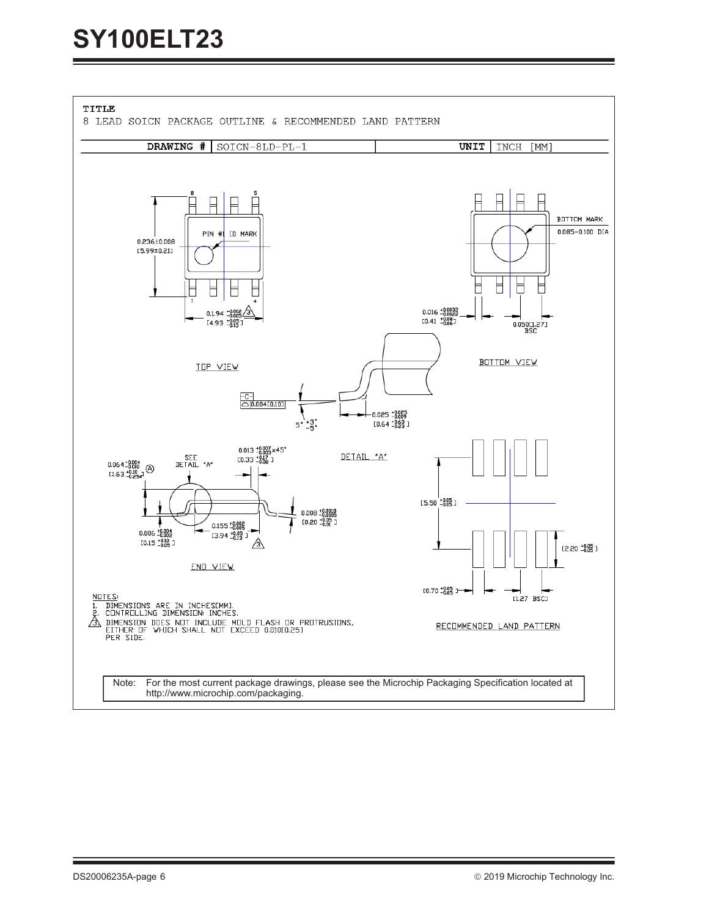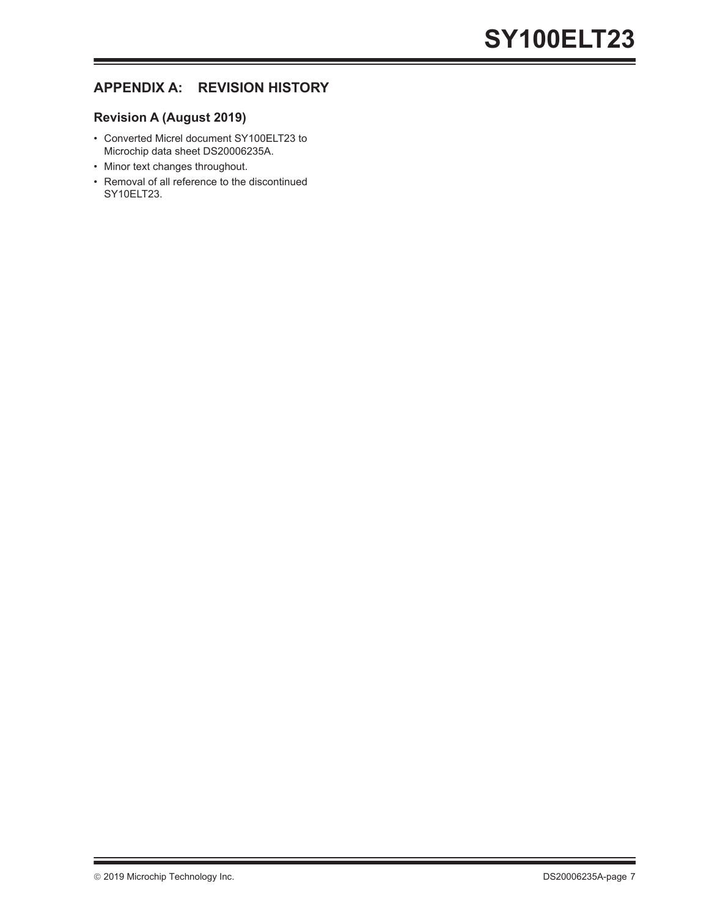### **APPENDIX A: REVISION HISTORY**

#### **Revision A (August 2019)**

- Converted Micrel document SY100ELT23 to Microchip data sheet DS20006235A.
- Minor text changes throughout.
- Removal of all reference to the discontinued SY10ELT23.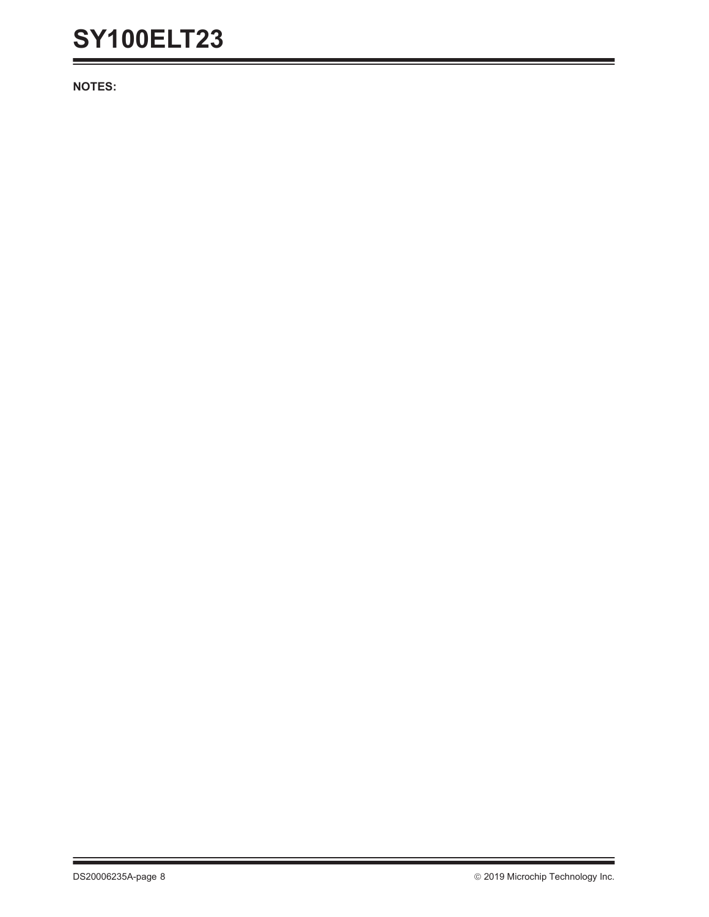# **SY100ELT23**

**NOTES:**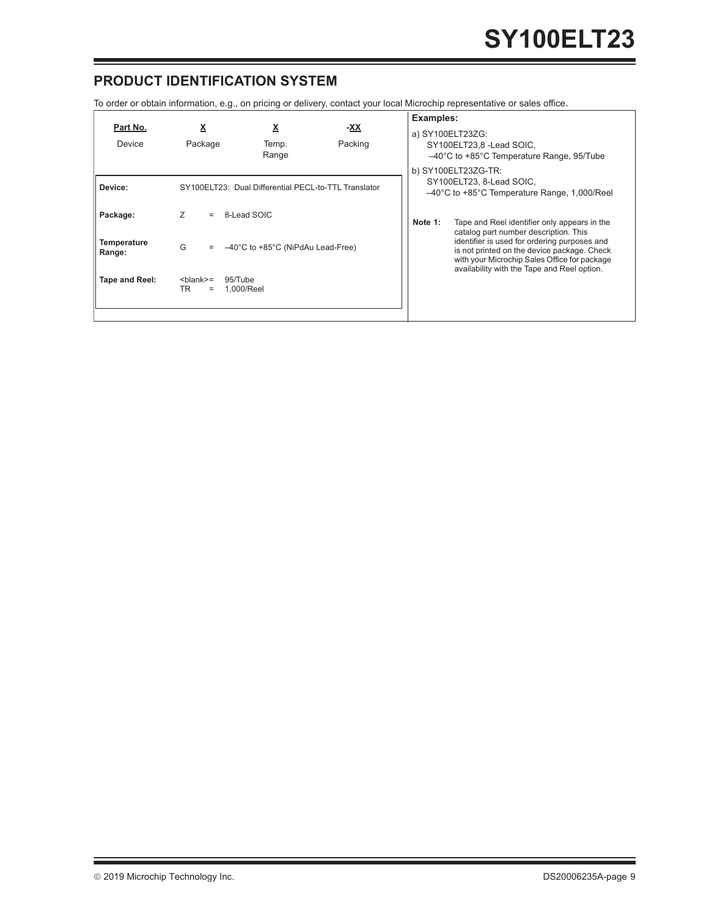## **PRODUCT IDENTIFICATION SYSTEM**

To order or obtain information, e.g., on pricing or delivery, contact your local Microchip representative or sales office.

|                              |                                        |                                                        |                       | Examples: |                                                                                                                                                                                                                                     |
|------------------------------|----------------------------------------|--------------------------------------------------------|-----------------------|-----------|-------------------------------------------------------------------------------------------------------------------------------------------------------------------------------------------------------------------------------------|
| Part No.<br>Device           | <u>x</u><br>Package                    | x<br>Temp.<br>Range                                    | <u>-XX</u><br>Packing |           | a) SY100ELT23ZG:<br>SY100ELT23,8 -Lead SOIC,<br>$-40^{\circ}$ C to +85 $^{\circ}$ C Temperature Range, 95/Tube                                                                                                                      |
| Device:                      |                                        | SY100ELT23: Dual Differential PECL-to-TTL Translator   |                       |           | b) SY100ELT23ZG-TR:<br>SY100ELT23, 8-Lead SOIC,<br>-40°C to +85°C Temperature Range, 1,000/Reel                                                                                                                                     |
| Package:                     | Ζ                                      | 8-Lead SOIC                                            |                       | Note 1:   | Tape and Reel identifier only appears in the                                                                                                                                                                                        |
| <b>Temperature</b><br>Range: | G<br>$=$                               | $-40^{\circ}$ C to +85 $^{\circ}$ C (NiPdAu Lead-Free) |                       |           | catalog part number description. This<br>identifier is used for ordering purposes and<br>is not printed on the device package. Check<br>with your Microchip Sales Office for package<br>availability with the Tape and Reel option. |
| Tape and Reel:               | 95/Tube<br>$<$ blank $>=$<br>TR<br>$=$ | 1.000/Reel                                             |                       |           |                                                                                                                                                                                                                                     |
|                              |                                        |                                                        |                       |           |                                                                                                                                                                                                                                     |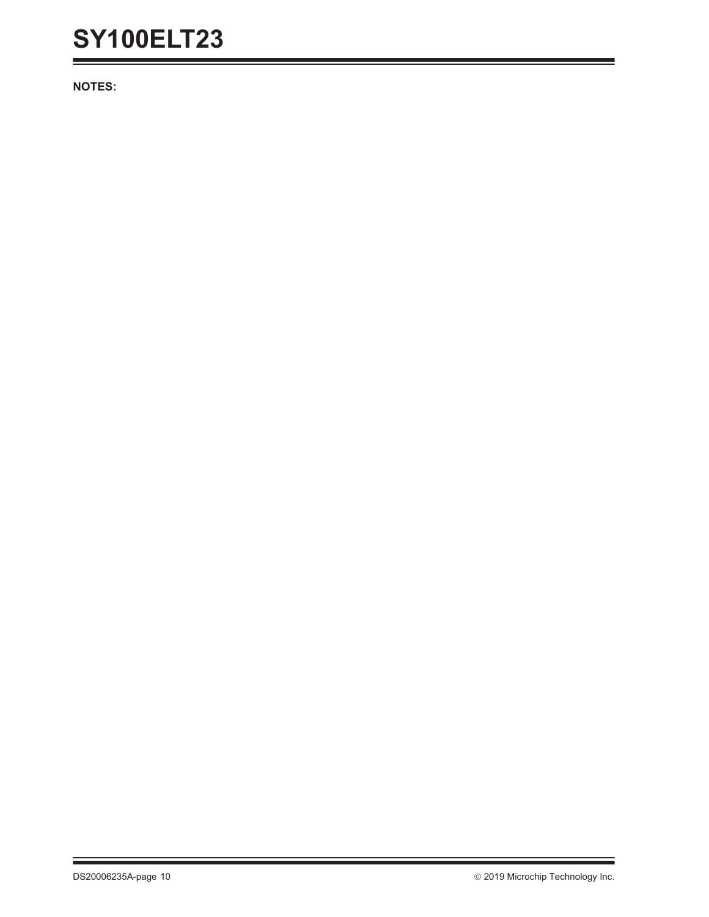# **SY100ELT23**

**NOTES:**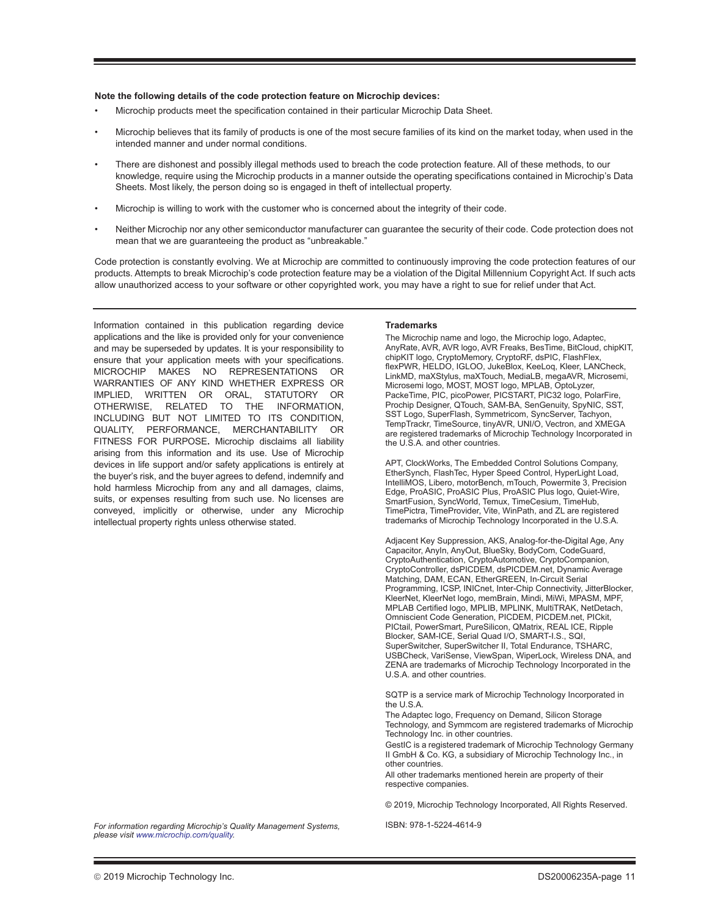#### **Note the following details of the code protection feature on Microchip devices:**

- Microchip products meet the specification contained in their particular Microchip Data Sheet.
- Microchip believes that its family of products is one of the most secure families of its kind on the market today, when used in the intended manner and under normal conditions.
- There are dishonest and possibly illegal methods used to breach the code protection feature. All of these methods, to our knowledge, require using the Microchip products in a manner outside the operating specifications contained in Microchip's Data Sheets. Most likely, the person doing so is engaged in theft of intellectual property.
- Microchip is willing to work with the customer who is concerned about the integrity of their code.
- Neither Microchip nor any other semiconductor manufacturer can guarantee the security of their code. Code protection does not mean that we are guaranteeing the product as "unbreakable."

Code protection is constantly evolving. We at Microchip are committed to continuously improving the code protection features of our products. Attempts to break Microchip's code protection feature may be a violation of the Digital Millennium Copyright Act. If such acts allow unauthorized access to your software or other copyrighted work, you may have a right to sue for relief under that Act.

Information contained in this publication regarding device applications and the like is provided only for your convenience and may be superseded by updates. It is your responsibility to ensure that your application meets with your specifications. MICROCHIP MAKES NO REPRESENTATIONS OR WARRANTIES OF ANY KIND WHETHER EXPRESS OR IMPLIED, WRITTEN OR ORAL, STATUTORY OR OTHERWISE, RELATED TO THE INFORMATION, INCLUDING BUT NOT LIMITED TO ITS CONDITION, QUALITY, PERFORMANCE, MERCHANTABILITY OR FITNESS FOR PURPOSE**.** Microchip disclaims all liability arising from this information and its use. Use of Microchip devices in life support and/or safety applications is entirely at the buyer's risk, and the buyer agrees to defend, indemnify and hold harmless Microchip from any and all damages, claims, suits, or expenses resulting from such use. No licenses are conveyed, implicitly or otherwise, under any Microchip intellectual property rights unless otherwise stated.

#### **Trademarks**

The Microchip name and logo, the Microchip logo, Adaptec, AnyRate, AVR, AVR logo, AVR Freaks, BesTime, BitCloud, chipKIT, chipKIT logo, CryptoMemory, CryptoRF, dsPIC, FlashFlex, flexPWR, HELDO, IGLOO, JukeBlox, KeeLoq, Kleer, LANCheck, LinkMD, maXStylus, maXTouch, MediaLB, megaAVR, Microsemi, Microsemi logo, MOST, MOST logo, MPLAB, OptoLyzer, PackeTime, PIC, picoPower, PICSTART, PIC32 logo, PolarFire, Prochip Designer, QTouch, SAM-BA, SenGenuity, SpyNIC, SST, SST Logo, SuperFlash, Symmetricom, SyncServer, Tachyon, TempTrackr, TimeSource, tinyAVR, UNI/O, Vectron, and XMEGA are registered trademarks of Microchip Technology Incorporated in the U.S.A. and other countries.

APT, ClockWorks, The Embedded Control Solutions Company, EtherSynch, FlashTec, Hyper Speed Control, HyperLight Load, IntelliMOS, Libero, motorBench, mTouch, Powermite 3, Precision Edge, ProASIC, ProASIC Plus, ProASIC Plus logo, Quiet-Wire, SmartFusion, SyncWorld, Temux, TimeCesium, TimeHub, TimePictra, TimeProvider, Vite, WinPath, and ZL are registered trademarks of Microchip Technology Incorporated in the U.S.A.

Adjacent Key Suppression, AKS, Analog-for-the-Digital Age, Any Capacitor, AnyIn, AnyOut, BlueSky, BodyCom, CodeGuard, CryptoAuthentication, CryptoAutomotive, CryptoCompanion, CryptoController, dsPICDEM, dsPICDEM.net, Dynamic Average Matching, DAM, ECAN, EtherGREEN, In-Circuit Serial Programming, ICSP, INICnet, Inter-Chip Connectivity, JitterBlocker, KleerNet, KleerNet logo, memBrain, Mindi, MiWi, MPASM, MPF, MPLAB Certified logo, MPLIB, MPLINK, MultiTRAK, NetDetach, Omniscient Code Generation, PICDEM, PICDEM.net, PICkit, PICtail, PowerSmart, PureSilicon, QMatrix, REAL ICE, Ripple Blocker, SAM-ICE, Serial Quad I/O, SMART-I.S., SQI, SuperSwitcher, SuperSwitcher II, Total Endurance, TSHARC, USBCheck, VariSense, ViewSpan, WiperLock, Wireless DNA, and ZENA are trademarks of Microchip Technology Incorporated in the U.S.A. and other countries.

SQTP is a service mark of Microchip Technology Incorporated in the U.S.A.

The Adaptec logo, Frequency on Demand, Silicon Storage Technology, and Symmcom are registered trademarks of Microchip Technology Inc. in other countries.

GestIC is a registered trademark of Microchip Technology Germany II GmbH & Co. KG, a subsidiary of Microchip Technology Inc., in other countries.

All other trademarks mentioned herein are property of their respective companies.

© 2019, Microchip Technology Incorporated, All Rights Reserved.

ISBN: 978-1-5224-4614-9

*[For information regarding Microchip's Quality Management Systems,](www.microchip.com/quality)  [please visit](www.microchip.com/quality) www.microchip.com/quality.*